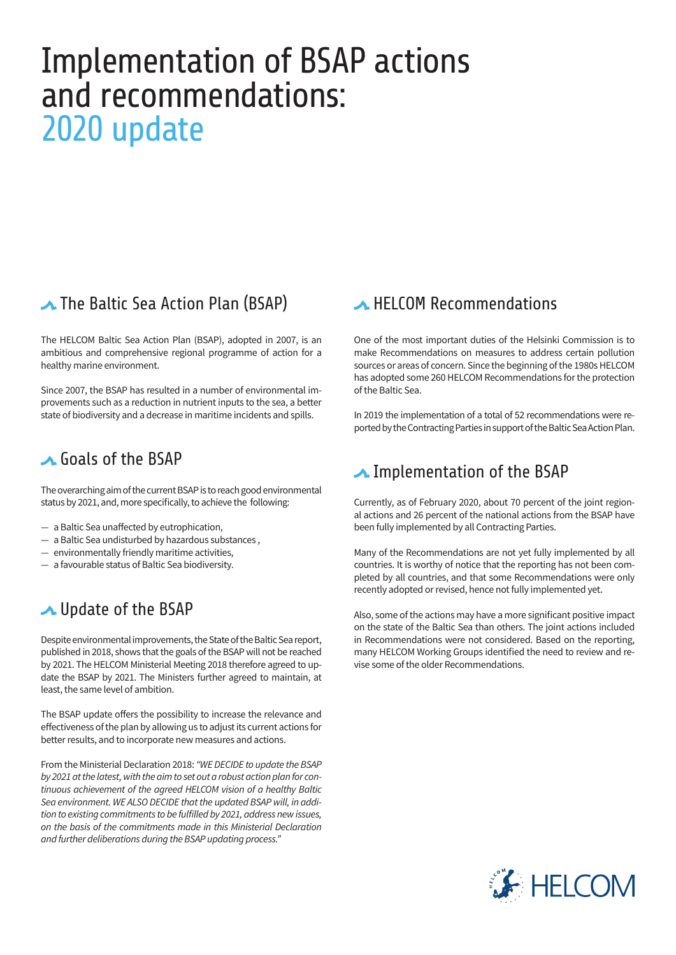# Implementation of BSAP actions and recommendations: 2020 update

# **▲ The Baltic Sea Action Plan (BSAP)**

The HELCOM Baltic Sea Action Plan (BSAP), adopted in 2007, is an ambitious and comprehensive regional programme of action for a healthy marine environment.

Since 2007, the BSAP has resulted in a number of environmental improvements such as a reduction in nutrient inputs to the sea, a better state of biodiversity and a decrease in maritime incidents and spills.

### **A.** Goals of the BSAP

The overarching aim of the current BSAP is to reach good environmental status by 2021, and, more specifically, to achieve the following:

- a Baltic Sea unaffected by eutrophication,
- a Baltic Sea undisturbed by hazardous substances ,
- environmentally friendly maritime activities,
- a favourable status of Baltic Sea biodiversity.

## ▲ Update of the BSAP

Despite environmental improvements, the State of the Baltic Sea report, published in 2018, shows that the goals of the BSAP will not be reached by 2021. The HELCOM Ministerial Meeting 2018 therefore agreed to update the BSAP by 2021. The Ministers further agreed to maintain, at least, the same level of ambition.

The BSAP update offers the possibility to increase the relevance and effectiveness of the plan by allowing us to adjust its current actions for better results, and to incorporate new measures and actions.

From the Ministerial Declaration 2018: *"WE DECIDE to update the BSAP by 2021 at the latest, with the aim to set out a robust action plan for continuous achievement of the agreed HELCOM vision of a healthy Baltic Sea environment. WE ALSO DECIDE that the updated BSAP will, in addition to existing commitments to be fulfilled by 2021, address new issues, on the basis of the commitments made in this Ministerial Declaration and further deliberations during the BSAP updating process."*

#### **A HELCOM Recommendations**

One of the most important duties of the Helsinki Commission is to make Recommendations on measures to address certain pollution sources or areas of concern. Since the beginning of the 1980s HELCOM has adopted some 260 HELCOM Recommendations for the protection of the Baltic Sea.

In 2019 the implementation of a total of 52 recommendations were reported by the Contracting Parties in support of the Baltic Sea Action Plan.

## ▲ Implementation of the BSAP

Currently, as of February 2020, about 70 percent of the joint regional actions and 26 percent of the national actions from the BSAP have been fully implemented by all Contracting Parties.

Many of the Recommendations are not yet fully implemented by all countries. It is worthy of notice that the reporting has not been completed by all countries, and that some Recommendations were only recently adopted or revised, hence not fully implemented yet.

Also, some of the actions may have a more significant positive impact on the state of the Baltic Sea than others. The joint actions included in Recommendations were not considered. Based on the reporting, many HELCOM Working Groups identified the need to review and revise some of the older Recommendations.